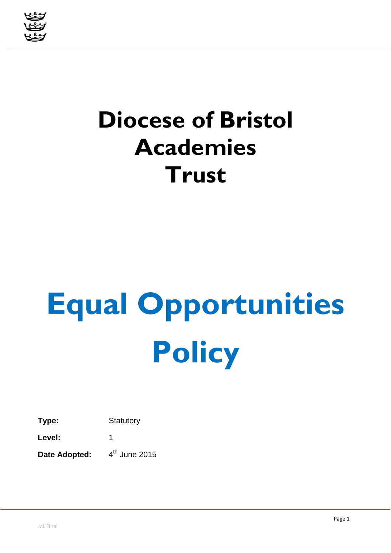

# **Diocese of Bristol Academies Trust**

# **Equal Opportunities Policy**

**Type:** Statutory

Level: 1

**Date Adopted:**  $4<sup>th</sup>$  June 2015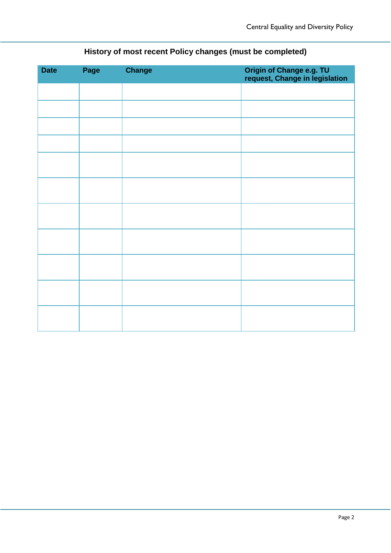| <b>Date</b> | Page | <b>Change</b> | Origin of Change e.g. TU<br>request, Change in legislation |
|-------------|------|---------------|------------------------------------------------------------|
|             |      |               |                                                            |
|             |      |               |                                                            |
|             |      |               |                                                            |
|             |      |               |                                                            |
|             |      |               |                                                            |
|             |      |               |                                                            |
|             |      |               |                                                            |
|             |      |               |                                                            |
|             |      |               |                                                            |
|             |      |               |                                                            |
|             |      |               |                                                            |

## **History of most recent Policy changes (must be completed)**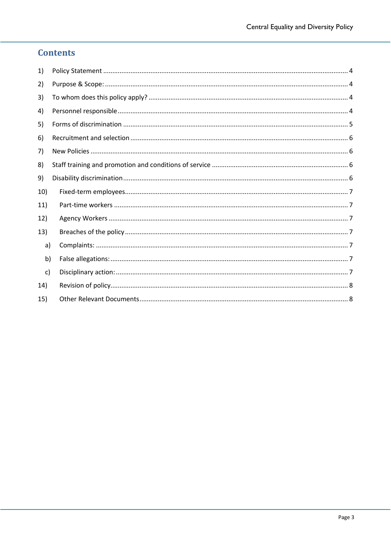### **Contents**

| 1)  |  |  |
|-----|--|--|
| 2)  |  |  |
| 3)  |  |  |
| 4)  |  |  |
| 5)  |  |  |
| 6)  |  |  |
| 7)  |  |  |
| 8)  |  |  |
| 9)  |  |  |
| 10) |  |  |
| 11) |  |  |
| 12) |  |  |
| 13) |  |  |
| a)  |  |  |
| b)  |  |  |
| c)  |  |  |
| 14) |  |  |
| 15) |  |  |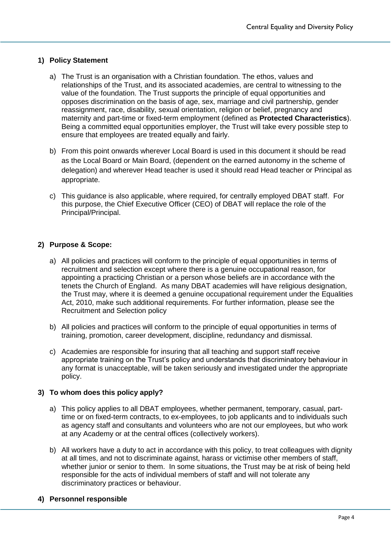#### <span id="page-3-0"></span>**1) Policy Statement**

- a) The Trust is an organisation with a Christian foundation. The ethos, values and relationships of the Trust, and its associated academies, are central to witnessing to the value of the foundation. The Trust supports the principle of equal opportunities and opposes discrimination on the basis of age, sex, marriage and civil partnership, gender reassignment, race, disability, sexual orientation, religion or belief, pregnancy and maternity and part-time or fixed-term employment (defined as **Protected Characteristics**). Being a committed equal opportunities employer, the Trust will take every possible step to ensure that employees are treated equally and fairly.
- b) From this point onwards wherever Local Board is used in this document it should be read as the Local Board or Main Board, (dependent on the earned autonomy in the scheme of delegation) and wherever Head teacher is used it should read Head teacher or Principal as appropriate.
- c) This guidance is also applicable, where required, for centrally employed DBAT staff. For this purpose, the Chief Executive Officer (CEO) of DBAT will replace the role of the Principal/Principal.

#### <span id="page-3-1"></span>**2) Purpose & Scope:**

- a) All policies and practices will conform to the principle of equal opportunities in terms of recruitment and selection except where there is a genuine occupational reason, for appointing a practicing Christian or a person whose beliefs are in accordance with the tenets the Church of England. As many DBAT academies will have religious designation, the Trust may, where it is deemed a genuine occupational requirement under the Equalities Act, 2010, make such additional requirements. For further information, please see the Recruitment and Selection policy
- b) All policies and practices will conform to the principle of equal opportunities in terms of training, promotion, career development, discipline, redundancy and dismissal.
- c) Academies are responsible for insuring that all teaching and support staff receive appropriate training on the Trust's policy and understands that discriminatory behaviour in any format is unacceptable, will be taken seriously and investigated under the appropriate policy.

#### <span id="page-3-2"></span>**3) To whom does this policy apply?**

- a) This policy applies to all DBAT employees, whether permanent, temporary, casual, parttime or on fixed-term contracts, to ex-employees, to job applicants and to individuals such as agency staff and consultants and volunteers who are not our employees, but who work at any Academy or at the central offices (collectively workers).
- b) All workers have a duty to act in accordance with this policy, to treat colleagues with dignity at all times, and not to discriminate against, harass or victimise other members of staff, whether junior or senior to them. In some situations, the Trust may be at risk of being held responsible for the acts of individual members of staff and will not tolerate any discriminatory practices or behaviour.

#### <span id="page-3-3"></span>**4) Personnel responsible**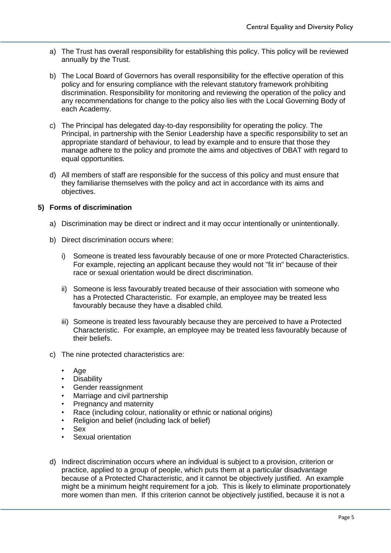- a) The Trust has overall responsibility for establishing this policy. This policy will be reviewed annually by the Trust.
- b) The Local Board of Governors has overall responsibility for the effective operation of this policy and for ensuring compliance with the relevant statutory framework prohibiting discrimination. Responsibility for monitoring and reviewing the operation of the policy and any recommendations for change to the policy also lies with the Local Governing Body of each Academy.
- c) The Principal has delegated day-to-day responsibility for operating the policy. The Principal, in partnership with the Senior Leadership have a specific responsibility to set an appropriate standard of behaviour, to lead by example and to ensure that those they manage adhere to the policy and promote the aims and objectives of DBAT with regard to equal opportunities.
- d) All members of staff are responsible for the success of this policy and must ensure that they familiarise themselves with the policy and act in accordance with its aims and objectives.

#### <span id="page-4-0"></span>**5) Forms of discrimination**

- a) Discrimination may be direct or indirect and it may occur intentionally or unintentionally.
- b) Direct discrimination occurs where:
	- i) Someone is treated less favourably because of one or more Protected Characteristics. For example, rejecting an applicant because they would not "fit in" because of their race or sexual orientation would be direct discrimination.
	- ii) Someone is less favourably treated because of their association with someone who has a Protected Characteristic. For example, an employee may be treated less favourably because they have a disabled child.
	- iii) Someone is treated less favourably because they are perceived to have a Protected Characteristic. For example, an employee may be treated less favourably because of their beliefs.
- c) The nine protected characteristics are:
	- Age
	- **Disability**
	- Gender reassignment
	- Marriage and civil partnership
	- Pregnancy and maternity
	- Race (including colour, nationality or ethnic or national origins)
	- Religion and belief (including lack of belief)
	- Sex
	- Sexual orientation
- d) Indirect discrimination occurs where an individual is subject to a provision, criterion or practice, applied to a group of people, which puts them at a particular disadvantage because of a Protected Characteristic, and it cannot be objectively justified. An example might be a minimum height requirement for a job. This is likely to eliminate proportionately more women than men. If this criterion cannot be objectively justified, because it is not a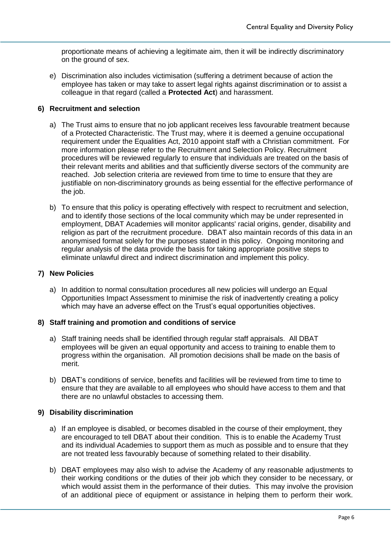proportionate means of achieving a legitimate aim, then it will be indirectly discriminatory on the ground of sex.

e) Discrimination also includes victimisation (suffering a detriment because of action the employee has taken or may take to assert legal rights against discrimination or to assist a colleague in that regard (called a **Protected Act**) and harassment.

#### <span id="page-5-0"></span>**6) Recruitment and selection**

- a) The Trust aims to ensure that no job applicant receives less favourable treatment because of a Protected Characteristic. The Trust may, where it is deemed a genuine occupational requirement under the Equalities Act, 2010 appoint staff with a Christian commitment. For more information please refer to the Recruitment and Selection Policy. Recruitment procedures will be reviewed regularly to ensure that individuals are treated on the basis of their relevant merits and abilities and that sufficiently diverse sectors of the community are reached. Job selection criteria are reviewed from time to time to ensure that they are justifiable on non-discriminatory grounds as being essential for the effective performance of the job.
- b) To ensure that this policy is operating effectively with respect to recruitment and selection, and to identify those sections of the local community which may be under represented in employment, DBAT Academies will monitor applicants' racial origins, gender, disability and religion as part of the recruitment procedure. DBAT also maintain records of this data in an anonymised format solely for the purposes stated in this policy. Ongoing monitoring and regular analysis of the data provide the basis for taking appropriate positive steps to eliminate unlawful direct and indirect discrimination and implement this policy.

#### <span id="page-5-1"></span>**7) New Policies**

a) In addition to normal consultation procedures all new policies will undergo an Equal Opportunities Impact Assessment to minimise the risk of inadvertently creating a policy which may have an adverse effect on the Trust's equal opportunities objectives.

#### <span id="page-5-2"></span>**8) Staff training and promotion and conditions of service**

- a) Staff training needs shall be identified through regular staff appraisals. All DBAT employees will be given an equal opportunity and access to training to enable them to progress within the organisation. All promotion decisions shall be made on the basis of merit.
- b) DBAT's conditions of service, benefits and facilities will be reviewed from time to time to ensure that they are available to all employees who should have access to them and that there are no unlawful obstacles to accessing them.

#### <span id="page-5-3"></span>**9) Disability discrimination**

- a) If an employee is disabled, or becomes disabled in the course of their employment, they are encouraged to tell DBAT about their condition. This is to enable the Academy Trust and its individual Academies to support them as much as possible and to ensure that they are not treated less favourably because of something related to their disability.
- b) DBAT employees may also wish to advise the Academy of any reasonable adjustments to their working conditions or the duties of their job which they consider to be necessary, or which would assist them in the performance of their duties. This may involve the provision of an additional piece of equipment or assistance in helping them to perform their work.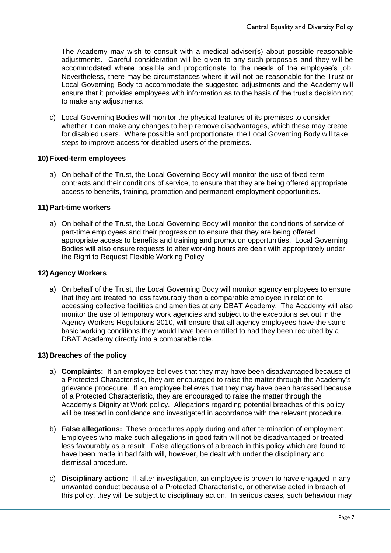The Academy may wish to consult with a medical adviser(s) about possible reasonable adjustments. Careful consideration will be given to any such proposals and they will be accommodated where possible and proportionate to the needs of the employee's job. Nevertheless, there may be circumstances where it will not be reasonable for the Trust or Local Governing Body to accommodate the suggested adjustments and the Academy will ensure that it provides employees with information as to the basis of the trust's decision not to make any adjustments.

c) Local Governing Bodies will monitor the physical features of its premises to consider whether it can make any changes to help remove disadvantages, which these may create for disabled users. Where possible and proportionate, the Local Governing Body will take steps to improve access for disabled users of the premises.

#### <span id="page-6-0"></span>**10) Fixed-term employees**

a) On behalf of the Trust, the Local Governing Body will monitor the use of fixed-term contracts and their conditions of service, to ensure that they are being offered appropriate access to benefits, training, promotion and permanent employment opportunities.

#### <span id="page-6-1"></span>**11) Part-time workers**

a) On behalf of the Trust, the Local Governing Body will monitor the conditions of service of part-time employees and their progression to ensure that they are being offered appropriate access to benefits and training and promotion opportunities. Local Governing Bodies will also ensure requests to alter working hours are dealt with appropriately under the Right to Request Flexible Working Policy.

#### <span id="page-6-2"></span>**12) Agency Workers**

a) On behalf of the Trust, the Local Governing Body will monitor agency employees to ensure that they are treated no less favourably than a comparable employee in relation to accessing collective facilities and amenities at any DBAT Academy. The Academy will also monitor the use of temporary work agencies and subject to the exceptions set out in the Agency Workers Regulations 2010, will ensure that all agency employees have the same basic working conditions they would have been entitled to had they been recruited by a DBAT Academy directly into a comparable role.

#### <span id="page-6-3"></span>**13) Breaches of the policy**

- <span id="page-6-4"></span>a) **Complaints:** If an employee believes that they may have been disadvantaged because of a Protected Characteristic, they are encouraged to raise the matter through the Academy's grievance procedure. If an employee believes that they may have been harassed because of a Protected Characteristic, they are encouraged to raise the matter through the Academy's Dignity at Work policy. Allegations regarding potential breaches of this policy will be treated in confidence and investigated in accordance with the relevant procedure.
- <span id="page-6-5"></span>b) **False allegations:** These procedures apply during and after termination of employment. Employees who make such allegations in good faith will not be disadvantaged or treated less favourably as a result. False allegations of a breach in this policy which are found to have been made in bad faith will, however, be dealt with under the disciplinary and dismissal procedure.
- <span id="page-6-6"></span>c) **Disciplinary action:** If, after investigation, an employee is proven to have engaged in any unwanted conduct because of a Protected Characteristic, or otherwise acted in breach of this policy, they will be subject to disciplinary action. In serious cases, such behaviour may